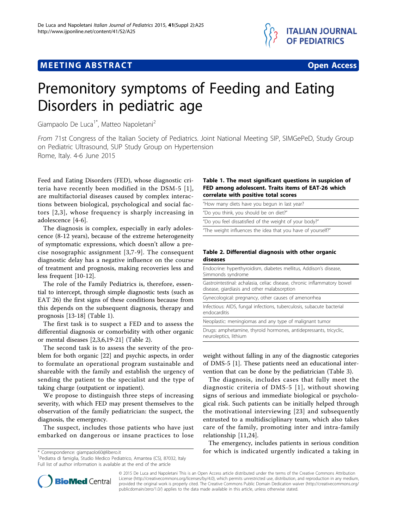



# Premonitory symptoms of Feeding and Eating Disorders in pediatric age

Giampaolo De Luca<sup>1\*</sup>, Matteo Napoletani<sup>2</sup>

From 71st Congress of the Italian Society of Pediatrics. Joint National Meeting SIP, SIMGePeD, Study Group on Pediatric Ultrasound, SUP Study Group on Hypertension Rome, Italy. 4-6 June 2015

Feed and Eating Disorders (FED), whose diagnostic criteria have recently been modified in the DSM-5 [[1\]](#page-1-0), are multifactorial diseases caused by complex interactions between biological, psychological and social factors [[2](#page-1-0),[3](#page-1-0)], whose frequency is sharply increasing in adolescence [[4-6](#page-1-0)].

The diagnosis is complex, especially in early adolescence (8-12 years), because of the extreme heterogeneity of symptomatic expressions, which doesn't allow a precise nosographic assignment [[3](#page-1-0),[7-9\]](#page-1-0). The consequent diagnostic delay has a negative influence on the course of treatment and prognosis, making recoveries less and less frequent [\[10-12](#page-1-0)].

The role of the Family Pediatrics is, therefore, essential to intercept, through simple diagnostic tests (such as EAT 26) the first signs of these conditions because from this depends on the subsequent diagnosis, therapy and prognosis [\[13](#page-1-0)-[18](#page-1-0)] (Table 1).

The first task is to suspect a FED and to assess the differential diagnosis or comorbidity with other organic or mental diseases [\[2,3](#page-1-0),[6,19](#page-1-0)-[21\]](#page-1-0) (Table 2).

The second task is to assess the severity of the problem for both organic [\[22](#page-1-0)] and psychic aspects, in order to formulate an operational program sustainable and shareable with the family and establish the urgency of sending the patient to the specialist and the type of taking charge (outpatient or inpatient).

We propose to distinguish three steps of increasing severity, with which FED may present themselves to the observation of the family pediatrician: the suspect, the diagnosis, the emergency.

The suspect, includes those patients who have just embarked on dangerous or insane practices to lose

<sup>1</sup> Pediatra di famiglia, Studio Medico Pediatrico, Amantea (CS), 87032, Italy Full list of author information is available at the end of the article

# Table 1. The most significant questions in suspicion of FED among adolescent. Traits items of EAT-26 which correlate with positive total scores

| "How many diets have you begun in last year?                |
|-------------------------------------------------------------|
| "Do you think, you should be on diet?"                      |
| "Do you feel dissatisfied of the weight of your body?"      |
| "The weight influences the idea that you have of yourself?" |

# Table 2. Differential diagnosis with other organic diseases

| Endocrine: hyperthyroidism, diabetes mellitus, Addison's disease,<br>Simmonds syndrome                                 |  |
|------------------------------------------------------------------------------------------------------------------------|--|
| Gastrointestinal: achalasia, celiac disease, chronic inflammatory bowel<br>disease, giardiasis and other malabsorption |  |
| Gynecological: pregnancy, other causes of amenorrhea                                                                   |  |
| Infectious: AIDS, fungal infections, tuberculosis, subacute bacterial<br>endocarditis                                  |  |
| Neoplastic: meningiomas and any type of malignant tumor                                                                |  |
| Drugs: amphetamine, thyroid hormones, antidepressants, tricyclic,<br>neuroleptics, lithium                             |  |

weight without falling in any of the diagnostic categories of DMS-5 [\[1](#page-1-0)]. These patients need an educational intervention that can be done by the pediatrician (Table [3\)](#page-1-0).

The diagnosis, includes cases that fully meet the diagnostic criteria of DMS-5 [[1\]](#page-1-0), without showing signs of serious and immediate biological or psychological risk. Such patients can be initially helped through the motivational interviewing [[23](#page-1-0)] and subsequently entrusted to a multidisciplinary team, which also takes care of the family, promoting inter and intra-family relationship [\[11](#page-1-0),[24\]](#page-1-0).

The emergency, includes patients in serious condition \* Correspondence: [giampaolo60@libero.it](mailto:giampaolo60@libero.it) for which is indicated urgently indicated a taking in



© 2015 De Luca and Napoletani This is an Open Access article distributed under the terms of the Creative Commons Attribution License [\(http://creativecommons.org/licenses/by/4.0](http://creativecommons.org/licenses/by/4.0)), which permits unrestricted use, distribution, and reproduction in any medium, provided the original work is properly cited. The Creative Commons Public Domain Dedication waiver ([http://creativecommons.org/](http://creativecommons.org/publicdomain/zero/1.0/) [publicdomain/zero/1.0/](http://creativecommons.org/publicdomain/zero/1.0/)) applies to the data made available in this article, unless otherwise stated.